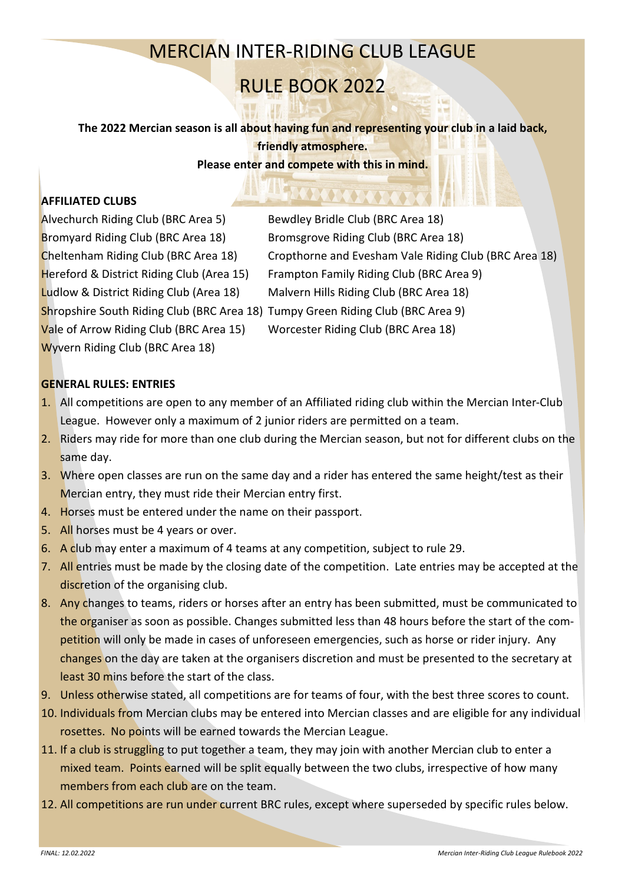## MERCIAN INTER-RIDING CLUB LEAGUE

# RULE BOOK 2022

**The 2022 Mercian season is all about having fun and representing your club in a laid back, friendly atmosphere.**

### **Please enter and compete with this in mind.**

## **AFFILIATED CLUBS**

Alvechurch Riding Club (BRC Area 5) Bewdley Bridle Club (BRC Area 18) Bromyard Riding Club (BRC Area 18) Bromsgrove Riding Club (BRC Area 18) Ludlow & District Riding Club (Area 18) Malvern Hills Riding Club (BRC Area 18) Shropshire South Riding Club (BRC Area 18) Tumpy Green Riding Club (BRC Area 9) Vale of Arrow Riding Club (BRC Area 15) Worcester Riding Club (BRC Area 18) Wyvern Riding Club (BRC Area 18)

Cheltenham Riding Club (BRC Area 18) Cropthorne and Evesham Vale Riding Club (BRC Area 18) Hereford & District Riding Club (Area 15) Frampton Family Riding Club (BRC Area 9)

#### **GENERAL RULES: ENTRIES**

- 1. All competitions are open to any member of an Affiliated riding club within the Mercian Inter-Club League. However only a maximum of 2 junior riders are permitted on a team.
- 2. Riders may ride for more than one club during the Mercian season, but not for different clubs on the same day.
- 3. Where open classes are run on the same day and a rider has entered the same height/test as their Mercian entry, they must ride their Mercian entry first.
- 4. Horses must be entered under the name on their passport.
- 5. All horses must be 4 years or over.
- 6. A club may enter a maximum of 4 teams at any competition, subject to rule 29.
- 7. All entries must be made by the closing date of the competition. Late entries may be accepted at the discretion of the organising club.
- 8. Any changes to teams, riders or horses after an entry has been submitted, must be communicated to the organiser as soon as possible. Changes submitted less than 48 hours before the start of the competition will only be made in cases of unforeseen emergencies, such as horse or rider injury. Any changes on the day are taken at the organisers discretion and must be presented to the secretary at least 30 mins before the start of the class.
- 9. Unless otherwise stated, all competitions are for teams of four, with the best three scores to count.
- 10. Individuals from Mercian clubs may be entered into Mercian classes and are eligible for any individual rosettes. No points will be earned towards the Mercian League.
- 11. If a club is struggling to put together a team, they may join with another Mercian club to enter a mixed team. Points earned will be split equally between the two clubs, irrespective of how many members from each club are on the team.
- 12. All competitions are run under current BRC rules, except where superseded by specific rules below.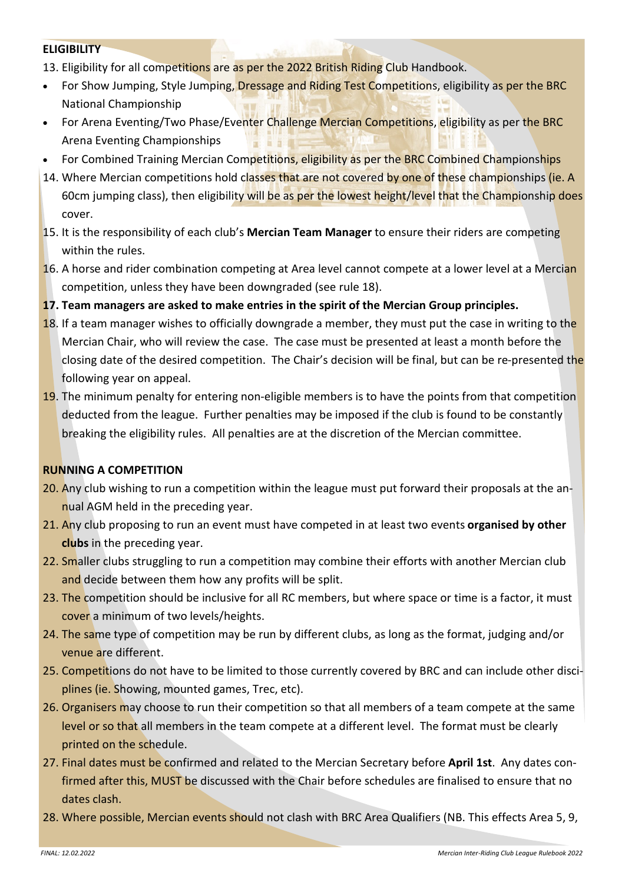#### **ELIGIBILITY**

- 13. Eligibility for all competitions are as per the 2022 British Riding Club Handbook.
- For Show Jumping, Style Jumping, Dressage and Riding Test Competitions, eligibility as per the BRC National Championship
- For Arena Eventing/Two Phase/Eventer Challenge Mercian Competitions, eligibility as per the BRC Arena Eventing Championships
- For Combined Training Mercian Competitions, eligibility as per the BRC Combined Championships
- 14. Where Mercian competitions hold classes that are not covered by one of these championships (ie. A 60cm jumping class), then eligibility will be as per the lowest height/level that the Championship does cover.
- 15. It is the responsibility of each club's **Mercian Team Manager** to ensure their riders are competing within the rules.
- 16. A horse and rider combination competing at Area level cannot compete at a lower level at a Mercian competition, unless they have been downgraded (see rule 18).
- **17. Team managers are asked to make entries in the spirit of the Mercian Group principles.**
- 18. If a team manager wishes to officially downgrade a member, they must put the case in writing to the Mercian Chair, who will review the case. The case must be presented at least a month before the closing date of the desired competition. The Chair's decision will be final, but can be re-presented the following year on appeal.
- 19. The minimum penalty for entering non-eligible members is to have the points from that competition deducted from the league. Further penalties may be imposed if the club is found to be constantly breaking the eligibility rules. All penalties are at the discretion of the Mercian committee.

#### **RUNNING A COMPETITION**

- 20. Any club wishing to run a competition within the league must put forward their proposals at the annual AGM held in the preceding year.
- 21. Any club proposing to run an event must have competed in at least two events **organised by other clubs** in the preceding year.
- 22. Smaller clubs struggling to run a competition may combine their efforts with another Mercian club and decide between them how any profits will be split.
- 23. The competition should be inclusive for all RC members, but where space or time is a factor, it must cover a minimum of two levels/heights.
- 24. The same type of competition may be run by different clubs, as long as the format, judging and/or venue are different.
- 25. Competitions do not have to be limited to those currently covered by BRC and can include other disciplines (ie. Showing, mounted games, Trec, etc).
- 26. Organisers may choose to run their competition so that all members of a team compete at the same level or so that all members in the team compete at a different level. The format must be clearly printed on the schedule.
- 27. Final dates must be confirmed and related to the Mercian Secretary before **April 1st**. Any dates confirmed after this, MUST be discussed with the Chair before schedules are finalised to ensure that no dates clash.
- 28. Where possible, Mercian events should not clash with BRC Area Qualifiers (NB. This effects Area 5, 9,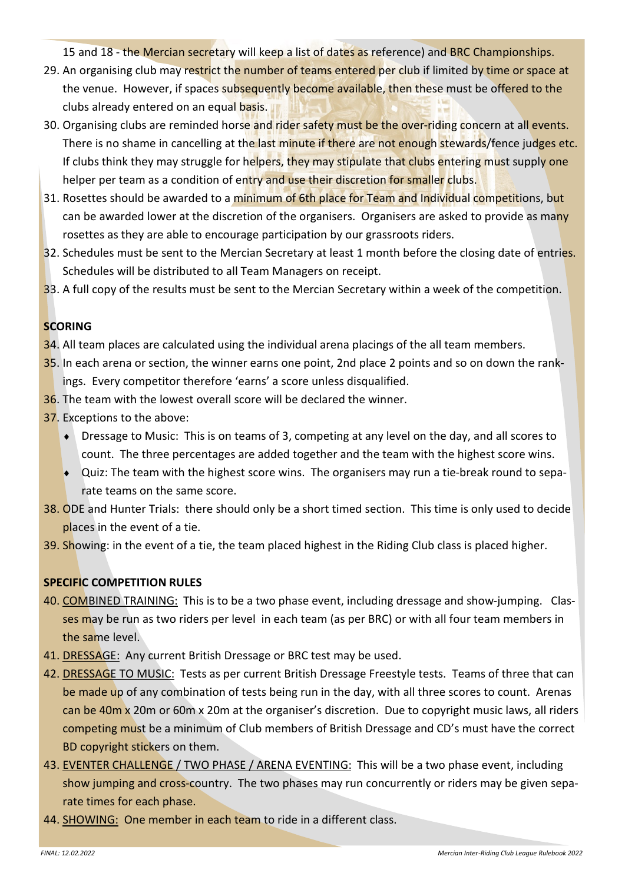15 and 18 - the Mercian secretary will keep a list of dates as reference) and BRC Championships.

- 29. An organising club may restrict the number of teams entered per club if limited by time or space at the venue. However, if spaces subsequently become available, then these must be offered to the clubs already entered on an equal basis.
- 30. Organising clubs are reminded horse and rider safety must be the over-riding concern at all events. There is no shame in cancelling at the last minute if there are not enough stewards/fence judges etc. If clubs think they may struggle for helpers, they may stipulate that clubs entering must supply one helper per team as a condition of entry and use their discretion for smaller clubs.
- 31. Rosettes should be awarded to a minimum of 6th place for Team and Individual competitions, but can be awarded lower at the discretion of the organisers. Organisers are asked to provide as many rosettes as they are able to encourage participation by our grassroots riders.
- 32. Schedules must be sent to the Mercian Secretary at least 1 month before the closing date of entries. Schedules will be distributed to all Team Managers on receipt.
- 33. A full copy of the results must be sent to the Mercian Secretary within a week of the competition.

#### **SCORING**

- 34. All team places are calculated using the individual arena placings of the all team members.
- 35. In each arena or section, the winner earns one point, 2nd place 2 points and so on down the rankings. Every competitor therefore 'earns' a score unless disqualified.
- 36. The team with the lowest overall score will be declared the winner.
- 37. Exceptions to the above:
	- Dressage to Music: This is on teams of 3, competing at any level on the day, and all scores to count. The three percentages are added together and the team with the highest score wins.
	- $\bullet$  Quiz: The team with the highest score wins. The organisers may run a tie-break round to separate teams on the same score.
- 38. ODE and Hunter Trials: there should only be a short timed section. This time is only used to decide places in the event of a tie.
- 39. Showing: in the event of a tie, the team placed highest in the Riding Club class is placed higher.

## **SPECIFIC COMPETITION RULES**

- 40. COMBINED TRAINING: This is to be a two phase event, including dressage and show-jumping. Classes may be run as two riders per level in each team (as per BRC) or with all four team members in the same level.
- 41. DRESSAGE: Any current British Dressage or BRC test may be used.
- 42. DRESSAGE TO MUSIC: Tests as per current British Dressage Freestyle tests. Teams of three that can be made up of any combination of tests being run in the day, with all three scores to count. Arenas can be 40m x 20m or 60m x 20m at the organiser's discretion. Due to copyright music laws, all riders competing must be a minimum of Club members of British Dressage and CD's must have the correct BD copyright stickers on them.
- 43. EVENTER CHALLENGE / TWO PHASE / ARENA EVENTING: This will be a two phase event, including show jumping and cross-country. The two phases may run concurrently or riders may be given separate times for each phase.
- 44. SHOWING: One member in each team to ride in a different class.